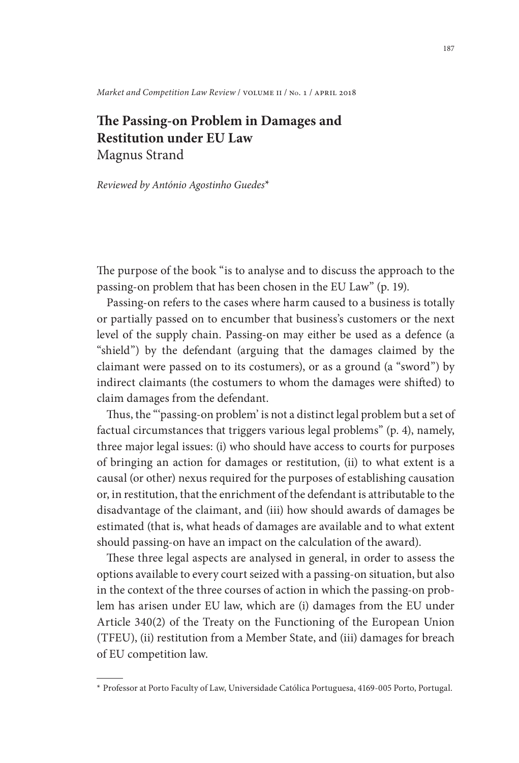*Market and Competition Law Review* / volume ii / no. 1 / april 2018

## **The Passing-on Problem in Damages and he Passing-on Problem in D<br>estitution under EU Law** Magnus Strand

*Reviewed by António Agostinho Guedes*\*1

The purpose of the book "is to analyse and to discuss the approach to the passing-on problem that has been chosen in the EU Law" (p. 19).

Passing-on refers to the cases where harm caused to a business is totally or partially passed on to encumber that business's customers or the next level of the supply chain. Passing-on may either be used as a defence (a "shield") by the defendant (arguing that the damages claimed by the claimant were passed on to its costumers), or as a ground (a "sword") by indirect claimants (the costumers to whom the damages were shifted) to claim damages from the defendant.

Thus, the "'passing-on problem' is not a distinct legal problem but a set of factual circumstances that triggers various legal problems" (p. 4), namely, three major legal issues: (i) who should have access to courts for purposes of bringing an action for damages or restitution, (ii) to what extent is a causal (or other) nexus required for the purposes of establishing causation or, in restitution, that the enrichment of the defendant is attributable to the disadvantage of the claimant, and (iii) how should awards of damages be estimated (that is, what heads of damages are available and to what extent should passing-on have an impact on the calculation of the award).

These three legal aspects are analysed in general, in order to assess the options available to every court seized with a passing-on situation, but also in the context of the three courses of action in which the passing-on problem has arisen under EU law, which are (i) damages from the EU under If the collect of the three courses of action in which the passing-on proo-<br>m has arisen under EU law, which are (i) damages from the EU under<br>rticle 340(2) of the Treaty on the Functioning of the European Union Figure 1.1 The State of the Treaty on the Functioning of the European Union<br>(TFEU), (ii) restitution from a Member State, and (iii) damages for breach of EU competition law.

<sup>\*</sup> Professor at Porto Faculty of Law, Universidade Católica Portuguesa, 4169-005 Porto, Portugal.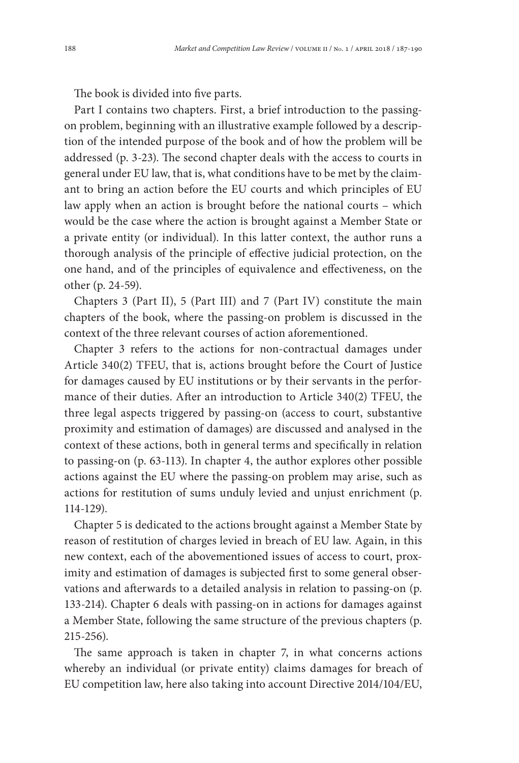The book is divided into five parts.

Part I contains two chapters. First, a brief introduction to the passingon problem, beginning with an illustrative example followed by a description of the intended purpose of the book and of how the problem will be addressed (p. 3-23). The second chapter deals with the access to courts in general under EU law, that is, what conditions have to be met by the claimant to bring an action before the EU courts and which principles of EU law apply when an action is brought before the national courts – which would be the case where the action is brought against a Member State or aw apply when all action is blought before the hational courts – which<br>would be the case where the action is brought against a Member State or<br>a private entity (or individual). In this latter context, the author runs a thorough analysis of the principle of effective judicial protection, on the one hand, and of the principles of equivalence and effectiveness, on the other (p. 24-59).

Chapters 3 (Part II), 5 (Part III) and 7 (Part IV) constitute the main chapters of the book, where the passing-on problem is discussed in the context of the three relevant courses of action aforementioned.

Chapter 3 refers to the actions for non-contractual damages under Article 340(2) TFEU, that is, actions brought before the Court of Justice for damages caused by EU institutions or by their servants in the perfor-Article 540(2) TFEU, that is, actions brought before the Court of Justice<br>for damages caused by EU institutions or by their servants in the perfor-<br>mance of their duties. After an introduction to Article 340(2) TFEU, the three legal aspects triggered by passing-on (access to court, substantive proximity and estimation of damages) are discussed and analysed in the context of these actions, both in general terms and specifically in relation proximity and estimation of damages) are discussed and analysed in the<br>context of these actions, both in general terms and specifically in relation<br>to passing-on (p. 63-113). In chapter 4, the author explores other possibl actions against the EU where the passing-on problem may arise, such as actions for restitution of sums unduly levied and unjust enrichment (p. 114-129).

Chapter 5 is dedicated to the actions brought against a Member State by reason of restitution of charges levied in breach of EU law. Again, in this new context, each of the abovementioned issues of access to court, proximity and estimation of damages is subjected first to some general observations and afterwards to a detailed analysis in relation to passing-on (p. 133-214). Chapter 6 deals with passing-on in actions for damages against a Member State, following the same structure of the previous chapters (p. 215-256).

The same approach is taken in chapter 7, in what concerns actions whereby an individual (or private entity) claims damages for breach of In the same approach is taken in chapter 7, in what concerns actions<br>whereby an individual (or private entity) claims damages for breach of<br>EU competition law, here also taking into account Directive 2014/104/EU,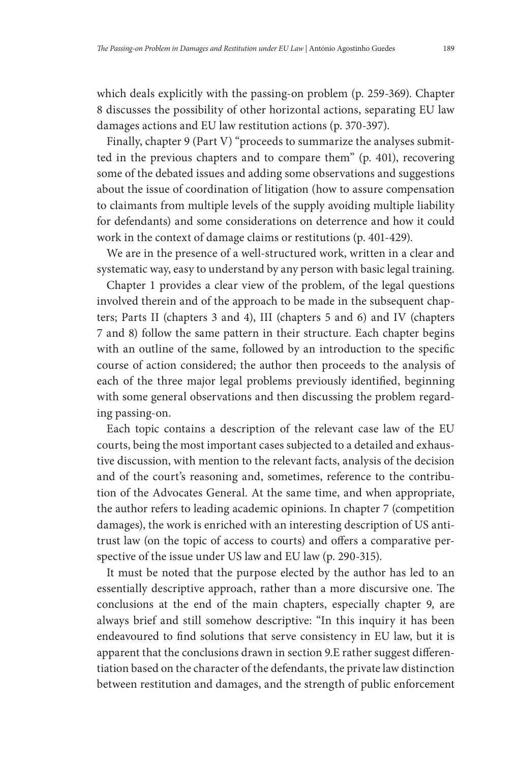which deals explicitly with the passing-on problem (p. 259-369). Chapter 8 discusses the possibility of other horizontal actions, separating EU law damages actions and EU law restitution actions (p. 370-397).

Finally, chapter 9 (Part V) "proceeds to summarize the analyses submitted in the previous chapters and to compare them" (p. 401), recovering some of the debated issues and adding some observations and suggestions about the issue of coordination of litigation (how to assure compensation to claimants from multiple levels of the supply avoiding multiple liability for defendants) and some considerations on deterrence and how it could work in the context of damage claims or restitutions (p. 401-429).

We are in the presence of a well-structured work, written in a clear and systematic way, easy to understand by any person with basic legal training.

Chapter 1 provides a clear view of the problem, of the legal questions involved therein and of the approach to be made in the subsequent chapters; Parts II (chapters 3 and 4), III (chapters 5 and 6) and IV (chapters 7 and 8) follow the same pattern in their structure. Each chapter begins with an outline of the same, followed by an introduction to the specific course of action considered; the author then proceeds to the analysis of each of the three major legal problems previously identified, beginning with some general observations and then discussing the problem regarding passing-on.

Each topic contains a description of the relevant case law of the EU courts, being the most important cases subjected to a detailed and exhaustive discussion, with mention to the relevant facts, analysis of the decision and of the court's reasoning and, sometimes, reference to the contributive discussion, with mention to the relevant facts, analysis of the decision<br>and of the court's reasoning and, sometimes, reference to the contribu-<br>tion of the Advocates General. At the same time, and when appropriate, tion of the Advocates General. At the same time, and when appropriate, the author refers to leading academic opinions. In chapter 7 (competition damages), the work is enriched with an interesting description of US antitrust law (on the topic of access to courts) and offers a comparative perspective of the issue under US law and EU law (p. 290-315).

It must be noted that the purpose elected by the author has led to an essentially descriptive approach, rather than a more discursive one. The conclusions at the end of the main chapters, especially chapter 9, are essentiany descriptive approach, rather than a more discursive one. The<br>conclusions at the end of the main chapters, especially chapter 9, are<br>always brief and still somehow descriptive: "In this inquiry it has been endeavoured to find solutions that serve consistency in EU law, but it is apparent that the conclusions drawn in section 9.E rather suggest differentiation based on the character of the defendants, the private law distinction between restitution and damages, and the strength of public enforcement